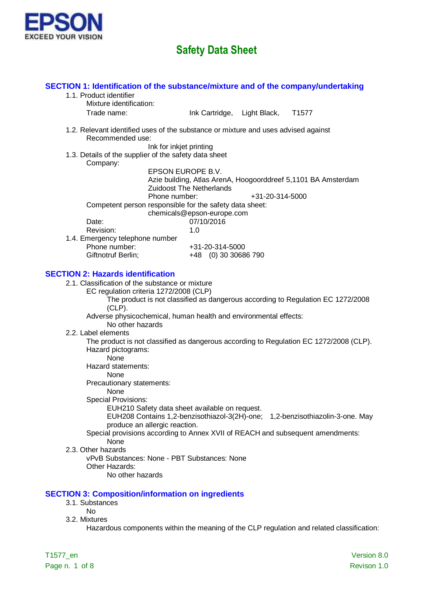

| SECTION 1: Identification of the substance/mixture and of the company/undertaking                              |                                 |                 |                                                               |             |
|----------------------------------------------------------------------------------------------------------------|---------------------------------|-----------------|---------------------------------------------------------------|-------------|
| 1.1. Product identifier                                                                                        |                                 |                 |                                                               |             |
| Mixture identification:                                                                                        |                                 |                 |                                                               |             |
| Trade name:                                                                                                    | Ink Cartridge, Light Black,     |                 | T <sub>1577</sub>                                             |             |
| 1.2. Relevant identified uses of the substance or mixture and uses advised against<br>Recommended use:         |                                 |                 |                                                               |             |
| Ink for inkjet printing                                                                                        |                                 |                 |                                                               |             |
| 1.3. Details of the supplier of the safety data sheet<br>Company:                                              |                                 |                 |                                                               |             |
|                                                                                                                | EPSON EUROPE B.V.               |                 |                                                               |             |
|                                                                                                                |                                 |                 | Azie building, Atlas ArenA, Hoogoorddreef 5,1101 BA Amsterdam |             |
| Phone number:                                                                                                  | <b>Zuidoost The Netherlands</b> | +31-20-314-5000 |                                                               |             |
| Competent person responsible for the safety data sheet:                                                        |                                 |                 |                                                               |             |
|                                                                                                                | chemicals@epson-europe.com      |                 |                                                               |             |
| Date:                                                                                                          | 07/10/2016                      |                 |                                                               |             |
| Revision:                                                                                                      | 1.0                             |                 |                                                               |             |
| 1.4. Emergency telephone number                                                                                |                                 |                 |                                                               |             |
| Phone number:<br>Giftnotruf Berlin;                                                                            | +31-20-314-5000                 |                 |                                                               |             |
|                                                                                                                | +48 (0) 30 30686 790            |                 |                                                               |             |
| <b>SECTION 2: Hazards identification</b>                                                                       |                                 |                 |                                                               |             |
| 2.1. Classification of the substance or mixture                                                                |                                 |                 |                                                               |             |
| EC regulation criteria 1272/2008 (CLP)                                                                         |                                 |                 |                                                               |             |
| The product is not classified as dangerous according to Regulation EC 1272/2008                                |                                 |                 |                                                               |             |
| $(CLP)$ .                                                                                                      |                                 |                 |                                                               |             |
| Adverse physicochemical, human health and environmental effects:                                               |                                 |                 |                                                               |             |
| No other hazards                                                                                               |                                 |                 |                                                               |             |
| 2.2. Label elements                                                                                            |                                 |                 |                                                               |             |
| The product is not classified as dangerous according to Regulation EC 1272/2008 (CLP).                         |                                 |                 |                                                               |             |
| Hazard pictograms:<br>None                                                                                     |                                 |                 |                                                               |             |
| Hazard statements:                                                                                             |                                 |                 |                                                               |             |
| None                                                                                                           |                                 |                 |                                                               |             |
| Precautionary statements:                                                                                      |                                 |                 |                                                               |             |
| None                                                                                                           |                                 |                 |                                                               |             |
| <b>Special Provisions:</b>                                                                                     |                                 |                 |                                                               |             |
| EUH210 Safety data sheet available on request.                                                                 |                                 |                 |                                                               |             |
| EUH208 Contains 1,2-benzisothiazol-3(2H)-one; 1,2-benzisothiazolin-3-one. May<br>produce an allergic reaction. |                                 |                 |                                                               |             |
| Special provisions according to Annex XVII of REACH and subsequent amendments:                                 |                                 |                 |                                                               |             |
| None                                                                                                           |                                 |                 |                                                               |             |
| 2.3. Other hazards                                                                                             |                                 |                 |                                                               |             |
| vPvB Substances: None - PBT Substances: None                                                                   |                                 |                 |                                                               |             |
| Other Hazards:                                                                                                 |                                 |                 |                                                               |             |
| No other hazards                                                                                               |                                 |                 |                                                               |             |
|                                                                                                                |                                 |                 |                                                               |             |
| <b>SECTION 3: Composition/information on ingredients</b>                                                       |                                 |                 |                                                               |             |
| 3.1. Substances<br><b>No</b>                                                                                   |                                 |                 |                                                               |             |
| 3.2. Mixtures                                                                                                  |                                 |                 |                                                               |             |
| Hazardous components within the meaning of the CLP regulation and related classification:                      |                                 |                 |                                                               |             |
|                                                                                                                |                                 |                 |                                                               |             |
|                                                                                                                |                                 |                 |                                                               |             |
| T1577_en                                                                                                       |                                 |                 |                                                               | Version 8.0 |

Page n. 1 of 8 Revison 1.0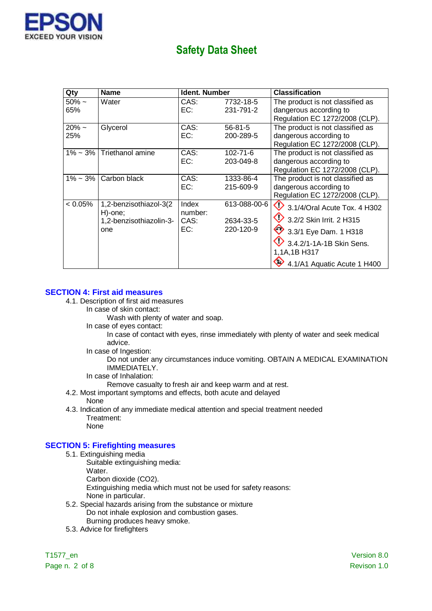

| Qty                | <b>Name</b>                                                         | <b>Ident. Number</b>            |                                        | <b>Classification</b>                                                                                                                                                       |
|--------------------|---------------------------------------------------------------------|---------------------------------|----------------------------------------|-----------------------------------------------------------------------------------------------------------------------------------------------------------------------------|
| $50\% \sim$<br>65% | Water                                                               | CAS:<br>EC:                     | 7732-18-5<br>231-791-2                 | The product is not classified as<br>dangerous according to<br>Regulation EC 1272/2008 (CLP).                                                                                |
| $20\% \sim$<br>25% | Glycerol                                                            | CAS:<br>EC:                     | $56 - 81 - 5$<br>200-289-5             | The product is not classified as<br>dangerous according to<br>Regulation EC 1272/2008 (CLP).                                                                                |
| $1\% \sim 3\%$     | Triethanol amine                                                    | CAS:<br>EC:                     | $102 - 71 - 6$<br>203-049-8            | The product is not classified as<br>dangerous according to<br>Regulation EC 1272/2008 (CLP).                                                                                |
| $1\% \sim 3\%$     | Carbon black                                                        | CAS:<br>EC:                     | 1333-86-4<br>215-609-9                 | The product is not classified as<br>dangerous according to<br>Regulation EC 1272/2008 (CLP).                                                                                |
| $< 0.05\%$         | 1,2-benzisothiazol-3(2<br>H)-one;<br>1,2-benzisothiazolin-3-<br>one | Index<br>number:<br>CAS:<br>EC: | 613-088-00-6<br>2634-33-5<br>220-120-9 | ♦<br>3.1/4/Oral Acute Tox. 4 H302<br>3.2/2 Skin Irrit. 2 H315<br>$\bullet$ 3.3/1 Eye Dam. 1 H318<br>3.4.2/1-1A-1B Skin Sens.<br>1,1A,1B H317<br>4.1/A1 Aquatic Acute 1 H400 |

### **SECTION 4: First aid measures**

- 4.1. Description of first aid measures
	- In case of skin contact:

Wash with plenty of water and soap.

In case of eyes contact:

In case of contact with eyes, rinse immediately with plenty of water and seek medical advice.

In case of Ingestion:

Do not under any circumstances induce vomiting. OBTAIN A MEDICAL EXAMINATION IMMEDIATELY.

In case of Inhalation:

Remove casualty to fresh air and keep warm and at rest.

- 4.2. Most important symptoms and effects, both acute and delayed None
- 4.3. Indication of any immediate medical attention and special treatment needed Treatment: None

### **SECTION 5: Firefighting measures**

- 5.1. Extinguishing media
	- Suitable extinguishing media:
		- Water.

Carbon dioxide (CO2).

Extinguishing media which must not be used for safety reasons:

- None in particular.
- 5.2. Special hazards arising from the substance or mixture Do not inhale explosion and combustion gases. Burning produces heavy smoke.
- 5.3. Advice for firefighters

Page n. 2 of 8 Revison 1.0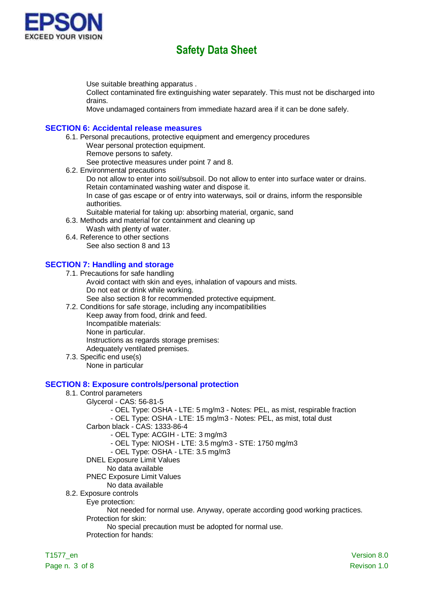

Use suitable breathing apparatus .

Collect contaminated fire extinguishing water separately. This must not be discharged into drains.

Move undamaged containers from immediate hazard area if it can be done safely.

#### **SECTION 6: Accidental release measures**

6.1. Personal precautions, protective equipment and emergency procedures Wear personal protection equipment.

Remove persons to safety. See protective measures under point 7 and 8.

6.2. Environmental precautions

Do not allow to enter into soil/subsoil. Do not allow to enter into surface water or drains. Retain contaminated washing water and dispose it.

In case of gas escape or of entry into waterways, soil or drains, inform the responsible authorities.

Suitable material for taking up: absorbing material, organic, sand

6.3. Methods and material for containment and cleaning up

Wash with plenty of water.

6.4. Reference to other sections See also section 8 and 13

### **SECTION 7: Handling and storage**

7.1. Precautions for safe handling

- Avoid contact with skin and eyes, inhalation of vapours and mists. Do not eat or drink while working.
	- See also section 8 for recommended protective equipment.
- 7.2. Conditions for safe storage, including any incompatibilities

Keep away from food, drink and feed.

Incompatible materials:

None in particular.

Instructions as regards storage premises:

Adequately ventilated premises.

7.3. Specific end use(s)

None in particular

#### **SECTION 8: Exposure controls/personal protection**

- 8.1. Control parameters
	- Glycerol CAS: 56-81-5
		- OEL Type: OSHA LTE: 5 mg/m3 Notes: PEL, as mist, respirable fraction
		- OEL Type: OSHA LTE: 15 mg/m3 Notes: PEL, as mist, total dust
		- Carbon black CAS: 1333-86-4
			- OEL Type: ACGIH LTE: 3 mg/m3
			- OEL Type: NIOSH LTE: 3.5 mg/m3 STE: 1750 mg/m3
			- OEL Type: OSHA LTE: 3.5 mg/m3
		- DNEL Exposure Limit Values
		- No data available
		- PNEC Exposure Limit Values
		- No data available
- 8.2. Exposure controls

Eye protection:

Not needed for normal use. Anyway, operate according good working practices.

Protection for skin:

No special precaution must be adopted for normal use.

Protection for hands: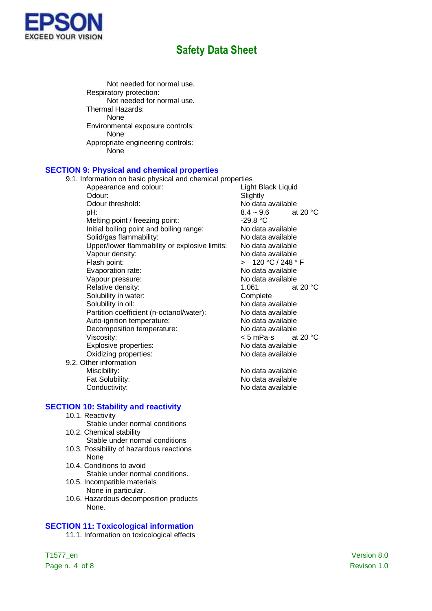

Not needed for normal use. Respiratory protection: Not needed for normal use. Thermal Hazards: None Environmental exposure controls: None Appropriate engineering controls: None

#### **SECTION 9: Physical and chemical properties**

9.1. Information on basic physical and chemical properties

- Appearance and colour: Light Black Liquid Odour: Slightly Odour threshold:<br>  $pH: 8.4 \sim 9.6$  at 20 °C Melting point / freezing point: Initial boiling point and boiling range:<br>Solid/gas flammability: No data available Solid/gas flammability:<br>
Upper/lower flammability or explosive limits: No data available Upper/lower flammability or explosive limits: Vapour density: No data available Flash point:  $\overline{C}$  > 120 °C / 248 ° F Evaporation rate: No data available Vapour pressure: No data available Relative density: 1.061 at 20 °C Solubility in water: Complete Solubility in oil: No data available Partition coefficient (n-octanol/water): No data available Auto-ignition temperature:<br>
Decomposition temperature:<br>
No data available Decomposition temperature: Viscosity:<br>
Explosive properties:<br>
Explosive properties:<br>
Some Modata available Explosive properties:<br>
Oxidizing properties:<br>
Oxidizing properties:<br>
No data available Oxidizing properties:
- 9.2. Other information

**SECTION 10: Stability and reactivity**

- 10.1. Reactivity
- Stable under normal conditions 10.2. Chemical stability
	- Stable under normal conditions
- 10.3. Possibility of hazardous reactions None
- 10.4. Conditions to avoid Stable under normal conditions.
- 10.5. Incompatible materials None in particular.
- 10.6. Hazardous decomposition products None.

### **SECTION 11: Toxicological information**

11.1. Information on toxicological effects

 $8.4 \sim 9.6$ <br>-29.8 °C

Miscibility: No data available Fat Solubility: The Contract of the No data available Conductivity: Conductivity: No data available

Page n. 4 of 8 Revison 1.0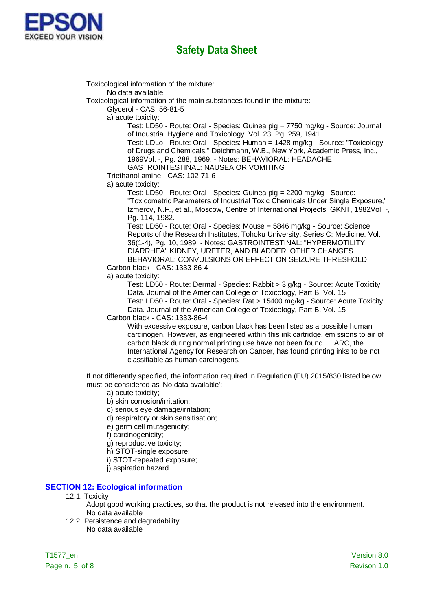

Toxicological information of the mixture: No data available Toxicological information of the main substances found in the mixture: Glycerol - CAS: 56-81-5 a) acute toxicity: Test: LD50 - Route: Oral - Species: Guinea pig = 7750 mg/kg - Source: Journal of Industrial Hygiene and Toxicology. Vol. 23, Pg. 259, 1941 Test: LDLo - Route: Oral - Species: Human = 1428 mg/kg - Source: "Toxicology of Drugs and Chemicals," Deichmann, W.B., New York, Academic Press, Inc., 1969Vol. -, Pg. 288, 1969. - Notes: BEHAVIORAL: HEADACHE GASTROINTESTINAL: NAUSEA OR VOMITING Triethanol amine - CAS: 102-71-6 a) acute toxicity: Test: LD50 - Route: Oral - Species: Guinea pig = 2200 mg/kg - Source: "Toxicometric Parameters of Industrial Toxic Chemicals Under Single Exposure," Izmerov, N.F., et al., Moscow, Centre of International Projects, GKNT, 1982Vol. -, Pg. 114, 1982. Test: LD50 - Route: Oral - Species: Mouse = 5846 mg/kg - Source: Science Reports of the Research Institutes, Tohoku University, Series C: Medicine. Vol. 36(1-4), Pg. 10, 1989. - Notes: GASTROINTESTINAL: "HYPERMOTILITY, DIARRHEA" KIDNEY, URETER, AND BLADDER: OTHER CHANGES BEHAVIORAL: CONVULSIONS OR EFFECT ON SEIZURE THRESHOLD Carbon black - CAS: 1333-86-4 a) acute toxicity: Test: LD50 - Route: Dermal - Species: Rabbit > 3 g/kg - Source: Acute Toxicity

Data. Journal of the American College of Toxicology, Part B. Vol. 15 Test: LD50 - Route: Oral - Species: Rat > 15400 mg/kg - Source: Acute Toxicity Data. Journal of the American College of Toxicology, Part B. Vol. 15 Carbon black - CAS: 1333-86-4

With excessive exposure, carbon black has been listed as a possible human carcinogen. However, as engineered within this ink cartridge, emissions to air of carbon black during normal printing use have not been found. IARC, the International Agency for Research on Cancer, has found printing inks to be not classifiable as human carcinogens.

If not differently specified, the information required in Regulation (EU) 2015/830 listed below must be considered as 'No data available':

- a) acute toxicity;
- b) skin corrosion/irritation;
- c) serious eye damage/irritation;
- d) respiratory or skin sensitisation;
- e) germ cell mutagenicity;
- f) carcinogenicity;
- g) reproductive toxicity;
- h) STOT-single exposure;
- i) STOT-repeated exposure;
- j) aspiration hazard.

#### **SECTION 12: Ecological information**

- 12.1. Toxicity
	- Adopt good working practices, so that the product is not released into the environment. No data available
- 12.2. Persistence and degradability No data available

T1577\_en Version 8.0 Page n. 5 of 8 Revison 1.0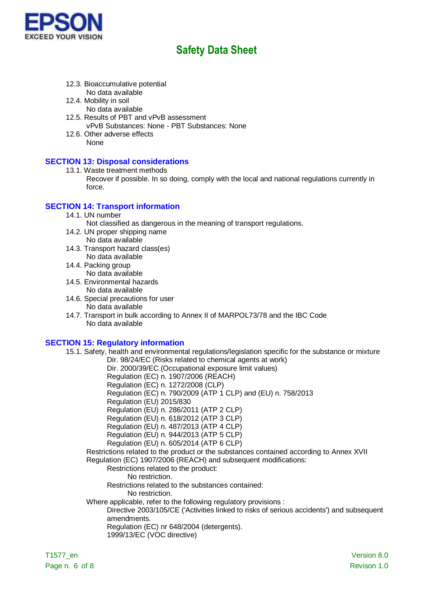

- 12.3. Bioaccumulative potential No data available
- 12.4. Mobility in soil
	- No data available
- 12.5. Results of PBT and vPvB assessment vPvB Substances: None - PBT Substances: None
- 12.6. Other adverse effects None

### **SECTION 13: Disposal considerations**

- 13.1. Waste treatment methods
	- Recover if possible. In so doing, comply with the local and national regulations currently in force.

### **SECTION 14: Transport information**

14.1. UN number

Not classified as dangerous in the meaning of transport regulations.

- 14.2. UN proper shipping name No data available
- 14.3. Transport hazard class(es) No data available
- 14.4. Packing group No data available
- 14.5. Environmental hazards No data available
- 14.6. Special precautions for user
	- No data available
- 14.7. Transport in bulk according to Annex II of MARPOL73/78 and the IBC Code No data available

### **SECTION 15: Regulatory information**

15.1. Safety, health and environmental regulations/legislation specific for the substance or mixture Dir. 98/24/EC (Risks related to chemical agents at work)

Dir. 2000/39/EC (Occupational exposure limit values)

Regulation (EC) n. 1907/2006 (REACH)

Regulation (EC) n. 1272/2008 (CLP)

- Regulation (EC) n. 790/2009 (ATP 1 CLP) and (EU) n. 758/2013
- Regulation (EU) 2015/830
- Regulation (EU) n. 286/2011 (ATP 2 CLP)

Regulation (EU) n. 618/2012 (ATP 3 CLP)

Regulation (EU) n. 487/2013 (ATP 4 CLP)

- Regulation (EU) n. 944/2013 (ATP 5 CLP)
- Regulation (EU) n. 605/2014 (ATP 6 CLP)

Restrictions related to the product or the substances contained according to Annex XVII Regulation (EC) 1907/2006 (REACH) and subsequent modifications:

#### Restrictions related to the product:

No restriction.

Restrictions related to the substances contained:

- No restriction.
- Where applicable, refer to the following regulatory provisions :

Directive 2003/105/CE ('Activities linked to risks of serious accidents') and subsequent amendments.

Regulation (EC) nr 648/2004 (detergents).

1999/13/EC (VOC directive)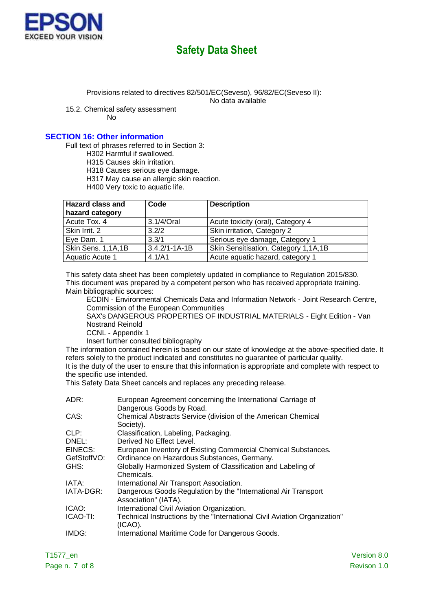

Provisions related to directives 82/501/EC(Seveso), 96/82/EC(Seveso II):

No data available

15.2. Chemical safety assessment

No

### **SECTION 16: Other information**

Full text of phrases referred to in Section 3:

H302 Harmful if swallowed.

H315 Causes skin irritation.

H318 Causes serious eye damage.

H317 May cause an allergic skin reaction.

H400 Very toxic to aquatic life.

| <b>Hazard class and</b> | Code                | <b>Description</b>                   |  |
|-------------------------|---------------------|--------------------------------------|--|
| hazard category         |                     |                                      |  |
| Acute Tox. 4            | 3.1/4/Oral          | Acute toxicity (oral), Category 4    |  |
| Skin Irrit, 2           | 3.2/2               | Skin irritation, Category 2          |  |
| Eye Dam. 1              | 3.3/1               | Serious eye damage, Category 1       |  |
| Skin Sens. 1,1A,1B      | $3.4.2/1 - 1A - 1B$ | Skin Sensitisation, Category 1,1A,1B |  |
| <b>Aquatic Acute 1</b>  | 4.1/A1              | Acute aquatic hazard, category 1     |  |

This safety data sheet has been completely updated in compliance to Regulation 2015/830. This document was prepared by a competent person who has received appropriate training. Main bibliographic sources:

ECDIN - Environmental Chemicals Data and Information Network - Joint Research Centre, Commission of the European Communities

SAX's DANGEROUS PROPERTIES OF INDUSTRIAL MATERIALS - Eight Edition - Van Nostrand Reinold

CCNL - Appendix 1

Insert further consulted bibliography

The information contained herein is based on our state of knowledge at the above-specified date. It refers solely to the product indicated and constitutes no guarantee of particular quality. It is the duty of the user to ensure that this information is appropriate and complete with respect to the specific use intended.

This Safety Data Sheet cancels and replaces any preceding release.

| ADR:        | European Agreement concerning the International Carriage of<br>Dangerous Goods by Road. |
|-------------|-----------------------------------------------------------------------------------------|
| CAS:        | Chemical Abstracts Service (division of the American Chemical<br>Society).              |
| CLP:        | Classification, Labeling, Packaging.                                                    |
| DNEL:       | Derived No Effect Level.                                                                |
| EINECS:     | European Inventory of Existing Commercial Chemical Substances.                          |
| GefStoffVO: | Ordinance on Hazardous Substances, Germany.                                             |
| GHS:        | Globally Harmonized System of Classification and Labeling of                            |
|             | Chemicals.                                                                              |
| IATA:       | International Air Transport Association.                                                |
| IATA-DGR:   | Dangerous Goods Regulation by the "International Air Transport<br>Association" (IATA).  |
| ICAO:       | International Civil Aviation Organization.                                              |
| ICAO-TI:    | Technical Instructions by the "International Civil Aviation Organization"<br>(ICAO).    |
| IMDG:       | International Maritime Code for Dangerous Goods.                                        |
|             |                                                                                         |